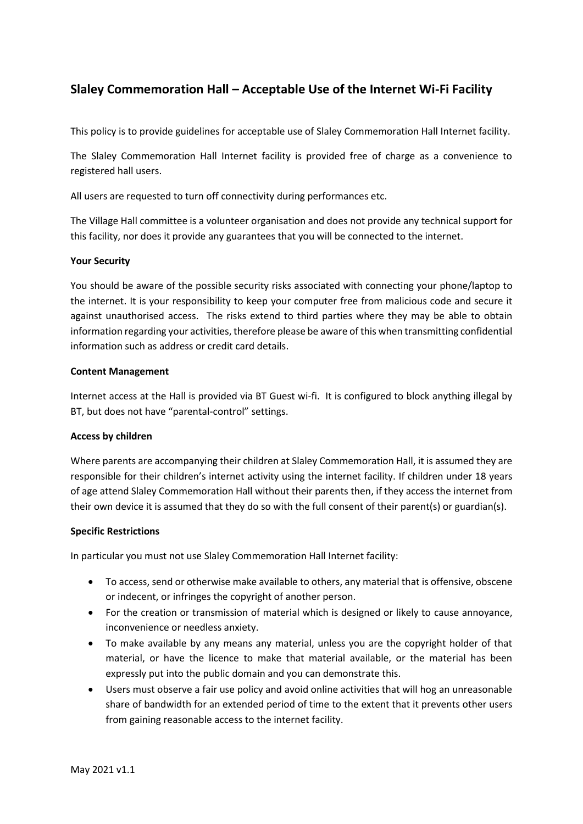# **Slaley Commemoration Hall – Acceptable Use of the Internet Wi-Fi Facility**

This policy is to provide guidelines for acceptable use of Slaley Commemoration Hall Internet facility.

The Slaley Commemoration Hall Internet facility is provided free of charge as a convenience to registered hall users.

All users are requested to turn off connectivity during performances etc.

The Village Hall committee is a volunteer organisation and does not provide any technical support for this facility, nor does it provide any guarantees that you will be connected to the internet.

## **Your Security**

You should be aware of the possible security risks associated with connecting your phone/laptop to the internet. It is your responsibility to keep your computer free from malicious code and secure it against unauthorised access. The risks extend to third parties where they may be able to obtain information regarding your activities, therefore please be aware of this when transmitting confidential information such as address or credit card details.

## **Content Management**

Internet access at the Hall is provided via BT Guest wi-fi. It is configured to block anything illegal by BT, but does not have "parental-control" settings.

## **Access by children**

Where parents are accompanying their children at Slaley Commemoration Hall, it is assumed they are responsible for their children's internet activity using the internet facility. If children under 18 years of age attend Slaley Commemoration Hall without their parents then, if they access the internet from their own device it is assumed that they do so with the full consent of their parent(s) or guardian(s).

## **Specific Restrictions**

In particular you must not use Slaley Commemoration Hall Internet facility:

- To access, send or otherwise make available to others, any material that is offensive, obscene or indecent, or infringes the copyright of another person.
- For the creation or transmission of material which is designed or likely to cause annoyance, inconvenience or needless anxiety.
- To make available by any means any material, unless you are the copyright holder of that material, or have the licence to make that material available, or the material has been expressly put into the public domain and you can demonstrate this.
- Users must observe a fair use policy and avoid online activities that will hog an unreasonable share of bandwidth for an extended period of time to the extent that it prevents other users from gaining reasonable access to the internet facility.